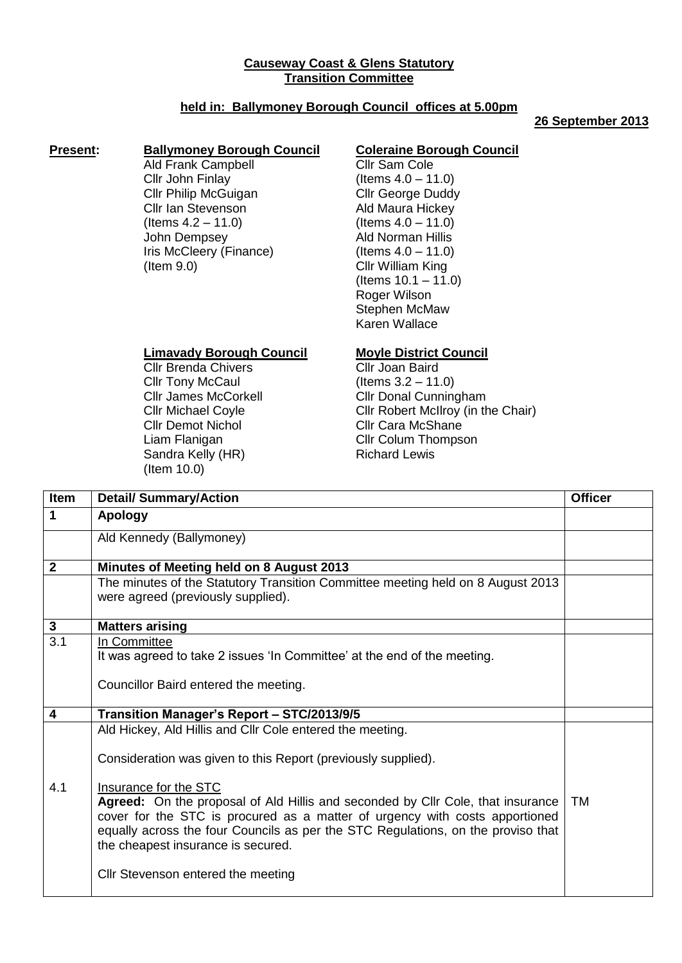## **Causeway Coast & Glens Statutory Transition Committee**

# **held in: Ballymoney Borough Council offices at 5.00pm**

#### **26 September 2013**

### **Present: Ballymoney Borough Council**

Ald Frank Campbell Cllr John Finlay Cllr Philip McGuigan Cllr Ian Stevenson (Items 4.2 – 11.0) John Dempsey Iris McCleery (Finance) (Item 9.0)

## **Coleraine Borough Council**

Cllr Sam Cole (Items 4.0 – 11.0) Cllr George Duddy Ald Maura Hickey  $($  ltems  $4.0 - 11.0)$ Ald Norman Hillis (Items 4.0 – 11.0) Cllr William King  $($  Items  $10.1 - 11.0)$ Roger Wilson Stephen McMaw Karen Wallace

### **Limavady Borough Council**

Cllr Brenda Chivers Cllr Tony McCaul Cllr James McCorkell Cllr Michael Coyle Cllr Demot Nichol Liam Flanigan Sandra Kelly (HR) (Item 10.0)

#### **Moyle District Council**

Cllr Joan Baird (Items 3.2 – 11.0) Cllr Donal Cunningham Cllr Robert McIlroy (in the Chair) Cllr Cara McShane Cllr Colum Thompson Richard Lewis

| Item                    | <b>Detail/ Summary/Action</b>                                                                                                                                                                                                                                                                                                                                                                                                                                                         | <b>Officer</b> |
|-------------------------|---------------------------------------------------------------------------------------------------------------------------------------------------------------------------------------------------------------------------------------------------------------------------------------------------------------------------------------------------------------------------------------------------------------------------------------------------------------------------------------|----------------|
| $\mathbf 1$             | <b>Apology</b>                                                                                                                                                                                                                                                                                                                                                                                                                                                                        |                |
|                         | Ald Kennedy (Ballymoney)                                                                                                                                                                                                                                                                                                                                                                                                                                                              |                |
| $\overline{2}$          | Minutes of Meeting held on 8 August 2013                                                                                                                                                                                                                                                                                                                                                                                                                                              |                |
|                         | The minutes of the Statutory Transition Committee meeting held on 8 August 2013<br>were agreed (previously supplied).                                                                                                                                                                                                                                                                                                                                                                 |                |
| $\mathbf{3}$            | <b>Matters arising</b>                                                                                                                                                                                                                                                                                                                                                                                                                                                                |                |
| 3.1                     | In Committee<br>It was agreed to take 2 issues 'In Committee' at the end of the meeting.<br>Councillor Baird entered the meeting.                                                                                                                                                                                                                                                                                                                                                     |                |
| $\overline{\mathbf{4}}$ | Transition Manager's Report - STC/2013/9/5                                                                                                                                                                                                                                                                                                                                                                                                                                            |                |
| 4.1                     | Ald Hickey, Ald Hillis and Cllr Cole entered the meeting.<br>Consideration was given to this Report (previously supplied).<br>Insurance for the STC<br>Agreed: On the proposal of Ald Hillis and seconded by Cllr Cole, that insurance<br>cover for the STC is procured as a matter of urgency with costs apportioned<br>equally across the four Councils as per the STC Regulations, on the proviso that<br>the cheapest insurance is secured.<br>Cllr Stevenson entered the meeting | TM             |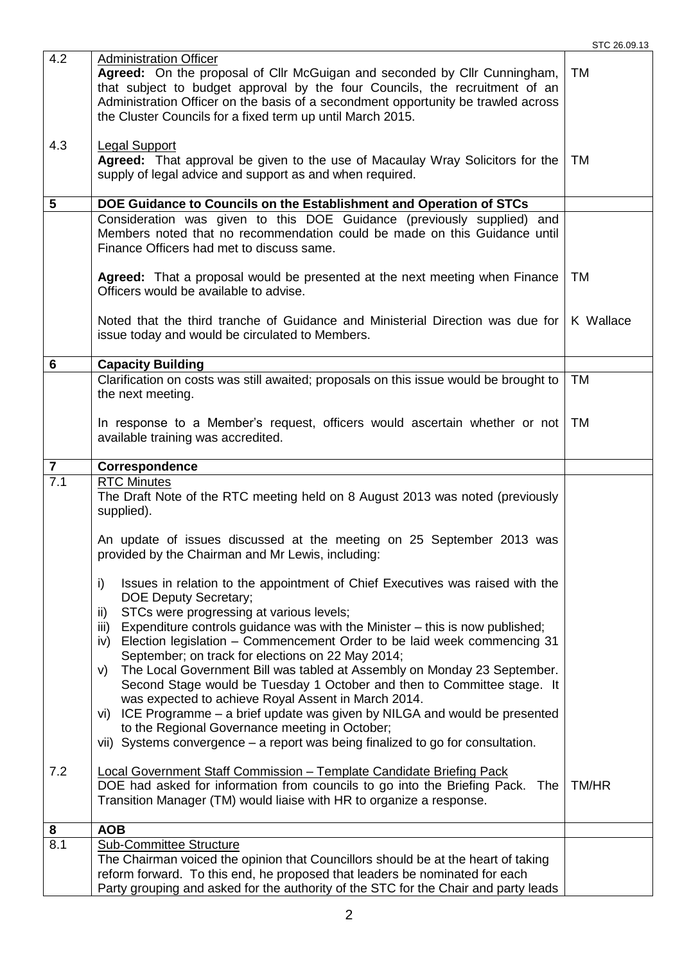|                         |                                                                                                                                                                                                                                                                                                                                                                                                                                       | STC 26.09.13 |  |  |
|-------------------------|---------------------------------------------------------------------------------------------------------------------------------------------------------------------------------------------------------------------------------------------------------------------------------------------------------------------------------------------------------------------------------------------------------------------------------------|--------------|--|--|
| 4.2                     | <b>Administration Officer</b><br>Agreed: On the proposal of Cllr McGuigan and seconded by Cllr Cunningham,<br>that subject to budget approval by the four Councils, the recruitment of an<br>Administration Officer on the basis of a secondment opportunity be trawled across<br>the Cluster Councils for a fixed term up until March 2015.                                                                                          | <b>TM</b>    |  |  |
| 4.3                     | <b>Legal Support</b><br>Agreed: That approval be given to the use of Macaulay Wray Solicitors for the<br>supply of legal advice and support as and when required.                                                                                                                                                                                                                                                                     | <b>TM</b>    |  |  |
| 5                       | DOE Guidance to Councils on the Establishment and Operation of STCs                                                                                                                                                                                                                                                                                                                                                                   |              |  |  |
|                         | Consideration was given to this DOE Guidance (previously supplied) and<br>Members noted that no recommendation could be made on this Guidance until<br>Finance Officers had met to discuss same.                                                                                                                                                                                                                                      |              |  |  |
|                         | <b>Agreed:</b> That a proposal would be presented at the next meeting when Finance<br>Officers would be available to advise.                                                                                                                                                                                                                                                                                                          | TM           |  |  |
|                         | Noted that the third tranche of Guidance and Ministerial Direction was due for<br>issue today and would be circulated to Members.                                                                                                                                                                                                                                                                                                     | K Wallace    |  |  |
| 6                       | <b>Capacity Building</b>                                                                                                                                                                                                                                                                                                                                                                                                              |              |  |  |
|                         | Clarification on costs was still awaited; proposals on this issue would be brought to<br>the next meeting.                                                                                                                                                                                                                                                                                                                            | <b>TM</b>    |  |  |
|                         | In response to a Member's request, officers would ascertain whether or not<br>available training was accredited.                                                                                                                                                                                                                                                                                                                      | <b>TM</b>    |  |  |
| $\overline{\mathbf{r}}$ | Correspondence                                                                                                                                                                                                                                                                                                                                                                                                                        |              |  |  |
| 7.1                     | <b>RTC Minutes</b><br>The Draft Note of the RTC meeting held on 8 August 2013 was noted (previously<br>supplied).                                                                                                                                                                                                                                                                                                                     |              |  |  |
|                         | An update of issues discussed at the meeting on 25 September 2013 was<br>provided by the Chairman and Mr Lewis, including:                                                                                                                                                                                                                                                                                                            |              |  |  |
|                         | Issues in relation to the appointment of Chief Executives was raised with the<br>i)<br><b>DOE Deputy Secretary;</b><br>STCs were progressing at various levels;<br>ii)<br>Expenditure controls guidance was with the Minister - this is now published;<br>iii)<br>Election legislation - Commencement Order to be laid week commencing 31<br>iv)<br>September; on track for elections on 22 May 2014;                                 |              |  |  |
|                         | The Local Government Bill was tabled at Assembly on Monday 23 September.<br>V)<br>Second Stage would be Tuesday 1 October and then to Committee stage. It<br>was expected to achieve Royal Assent in March 2014.<br>vi) ICE Programme - a brief update was given by NILGA and would be presented<br>to the Regional Governance meeting in October;<br>vii) Systems convergence - a report was being finalized to go for consultation. |              |  |  |
| 7.2                     | Local Government Staff Commission - Template Candidate Briefing Pack<br>DOE had asked for information from councils to go into the Briefing Pack. The<br>Transition Manager (TM) would liaise with HR to organize a response.                                                                                                                                                                                                         | TM/HR        |  |  |
| 8                       | <b>AOB</b>                                                                                                                                                                                                                                                                                                                                                                                                                            |              |  |  |
| 8.1                     | <b>Sub-Committee Structure</b><br>The Chairman voiced the opinion that Councillors should be at the heart of taking<br>reform forward. To this end, he proposed that leaders be nominated for each<br>Party grouping and asked for the authority of the STC for the Chair and party leads                                                                                                                                             |              |  |  |